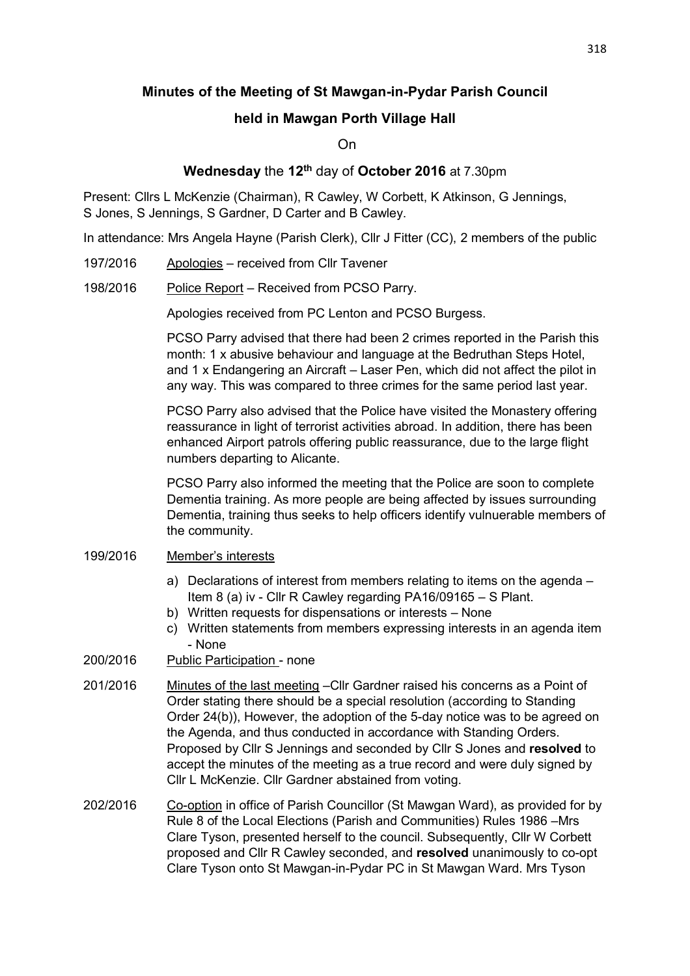# **Minutes of the Meeting of St Mawgan-in-Pydar Parish Council**

### **held in Mawgan Porth Village Hall**

On

## **Wednesday** the **12th** day of **October 2016** at 7.30pm

Present: Cllrs L McKenzie (Chairman), R Cawley, W Corbett, K Atkinson, G Jennings, S Jones, S Jennings, S Gardner, D Carter and B Cawley.

In attendance: Mrs Angela Hayne (Parish Clerk), Cllr J Fitter (CC), 2 members of the public

- 197/2016 Apologies received from Cllr Tavener
- 198/2016 Police Report Received from PCSO Parry.

Apologies received from PC Lenton and PCSO Burgess.

PCSO Parry advised that there had been 2 crimes reported in the Parish this month: 1 x abusive behaviour and language at the Bedruthan Steps Hotel, and 1 x Endangering an Aircraft – Laser Pen, which did not affect the pilot in any way. This was compared to three crimes for the same period last year.

PCSO Parry also advised that the Police have visited the Monastery offering reassurance in light of terrorist activities abroad. In addition, there has been enhanced Airport patrols offering public reassurance, due to the large flight numbers departing to Alicante.

PCSO Parry also informed the meeting that the Police are soon to complete Dementia training. As more people are being affected by issues surrounding Dementia, training thus seeks to help officers identify vulnuerable members of the community.

#### 199/2016 Member's interests

- a) Declarations of interest from members relating to items on the agenda Item 8 (a) iv - Cllr R Cawley regarding PA16/09165 – S Plant.
- b) Written requests for dispensations or interests None
- c) Written statements from members expressing interests in an agenda item - None
- 200/2016 Public Participation none
- 201/2016 Minutes of the last meeting –Cllr Gardner raised his concerns as a Point of Order stating there should be a special resolution (according to Standing Order 24(b)), However, the adoption of the 5-day notice was to be agreed on the Agenda, and thus conducted in accordance with Standing Orders. Proposed by Cllr S Jennings and seconded by Cllr S Jones and **resolved** to accept the minutes of the meeting as a true record and were duly signed by Cllr L McKenzie. Cllr Gardner abstained from voting.
- 202/2016 Co-option in office of Parish Councillor (St Mawgan Ward), as provided for by Rule 8 of the Local Elections (Parish and Communities) Rules 1986 –Mrs Clare Tyson, presented herself to the council. Subsequently, Cllr W Corbett proposed and Cllr R Cawley seconded, and **resolved** unanimously to co-opt Clare Tyson onto St Mawgan-in-Pydar PC in St Mawgan Ward. Mrs Tyson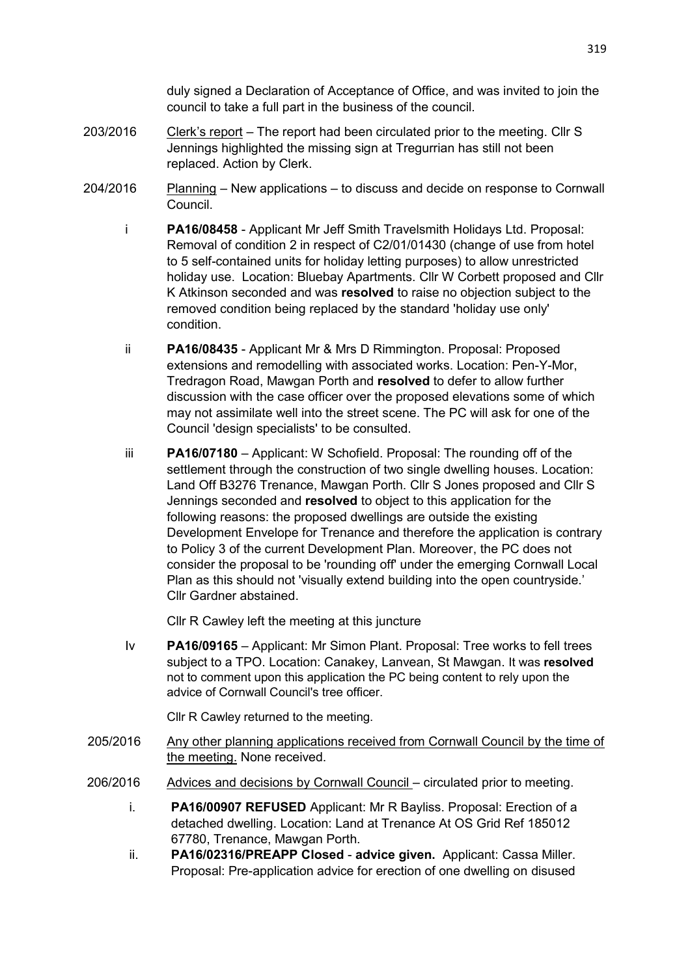duly signed a Declaration of Acceptance of Office, and was invited to join the council to take a full part in the business of the council.

- 203/2016 Clerk's report The report had been circulated prior to the meeting. Cllr S Jennings highlighted the missing sign at Tregurrian has still not been replaced. Action by Clerk.
- 204/2016 Planning New applications to discuss and decide on response to Cornwall Council.
	- i **PA16/08458** Applicant Mr Jeff Smith Travelsmith Holidays Ltd. Proposal: Removal of condition 2 in respect of C2/01/01430 (change of use from hotel to 5 self-contained units for holiday letting purposes) to allow unrestricted holiday use. Location: Bluebay Apartments. Cllr W Corbett proposed and Cllr K Atkinson seconded and was **resolved** to raise no objection subject to the removed condition being replaced by the standard 'holiday use only' condition.
	- ii **PA16/08435** Applicant Mr & Mrs D Rimmington. Proposal: Proposed extensions and remodelling with associated works. Location: Pen-Y-Mor, Tredragon Road, Mawgan Porth and **resolved** to defer to allow further discussion with the case officer over the proposed elevations some of which may not assimilate well into the street scene. The PC will ask for one of the Council 'design specialists' to be consulted.
	- iii **PA16/07180** Applicant: W Schofield. Proposal: The rounding off of the settlement through the construction of two single dwelling houses. Location: Land Off B3276 Trenance, Mawgan Porth. Cllr S Jones proposed and Cllr S Jennings seconded and **resolved** to object to this application for the following reasons: the proposed dwellings are outside the existing Development Envelope for Trenance and therefore the application is contrary to Policy 3 of the current Development Plan. Moreover, the PC does not consider the proposal to be 'rounding off' under the emerging Cornwall Local Plan as this should not 'visually extend building into the open countryside.' Cllr Gardner abstained.

Cllr R Cawley left the meeting at this juncture

 Iv **PA16/09165** – Applicant: Mr Simon Plant. Proposal: Tree works to fell trees subject to a TPO. Location: Canakey, Lanvean, St Mawgan. It was **resolved** not to comment upon this application the PC being content to rely upon the advice of Cornwall Council's tree officer.

Cllr R Cawley returned to the meeting.

- 205/2016 Any other planning applications received from Cornwall Council by the time of the meeting. None received.
- 206/2016 Advices and decisions by Cornwall Council circulated prior to meeting.
	- i. **PA16/00907 REFUSED** Applicant: Mr R Bayliss. Proposal: Erection of a detached dwelling. Location: Land at Trenance At OS Grid Ref 185012 67780, Trenance, Mawgan Porth.
	- ii. **PA16/02316/PREAPP Closed advice given.** Applicant: Cassa Miller. Proposal: Pre-application advice for erection of one dwelling on disused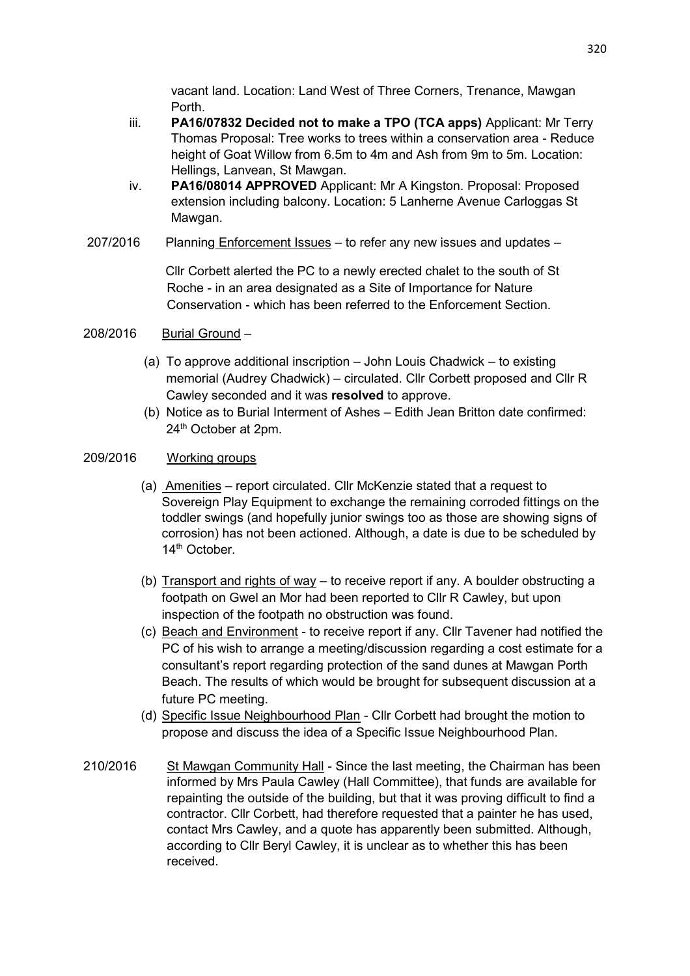vacant land. Location: Land West of Three Corners, Trenance, Mawgan Porth.

- iii. **PA16/07832 Decided not to make a TPO (TCA apps)** Applicant: Mr Terry Thomas Proposal: Tree works to trees within a conservation area - Reduce height of Goat Willow from 6.5m to 4m and Ash from 9m to 5m. Location: Hellings, Lanvean, St Mawgan.
- iv. **PA16/08014 APPROVED** Applicant: Mr A Kingston. Proposal: Proposed extension including balcony. Location: 5 Lanherne Avenue Carloggas St Mawgan.
- 207/2016 Planning Enforcement Issues to refer any new issues and updates –

 Cllr Corbett alerted the PC to a newly erected chalet to the south of St Roche - in an area designated as a Site of Importance for Nature Conservation - which has been referred to the Enforcement Section.

## 208/2016 Burial Ground –

- (a) To approve additional inscription John Louis Chadwick to existing memorial (Audrey Chadwick) – circulated. Cllr Corbett proposed and Cllr R Cawley seconded and it was **resolved** to approve.
- (b) Notice as to Burial Interment of Ashes Edith Jean Britton date confirmed: 24<sup>th</sup> October at 2pm.

### 209/2016 Working groups

- (a) Amenities report circulated. Cllr McKenzie stated that a request to Sovereign Play Equipment to exchange the remaining corroded fittings on the toddler swings (and hopefully junior swings too as those are showing signs of corrosion) has not been actioned. Although, a date is due to be scheduled by 14th October.
- (b) Transport and rights of way to receive report if any. A boulder obstructing a footpath on Gwel an Mor had been reported to Cllr R Cawley, but upon inspection of the footpath no obstruction was found.
- (c) Beach and Environment to receive report if any. Cllr Tavener had notified the PC of his wish to arrange a meeting/discussion regarding a cost estimate for a consultant's report regarding protection of the sand dunes at Mawgan Porth Beach. The results of which would be brought for subsequent discussion at a future PC meeting.
- (d) Specific Issue Neighbourhood Plan Cllr Corbett had brought the motion to propose and discuss the idea of a Specific Issue Neighbourhood Plan.
- 210/2016 St Mawgan Community Hall Since the last meeting, the Chairman has been informed by Mrs Paula Cawley (Hall Committee), that funds are available for repainting the outside of the building, but that it was proving difficult to find a contractor. Cllr Corbett, had therefore requested that a painter he has used, contact Mrs Cawley, and a quote has apparently been submitted. Although, according to Cllr Beryl Cawley, it is unclear as to whether this has been received.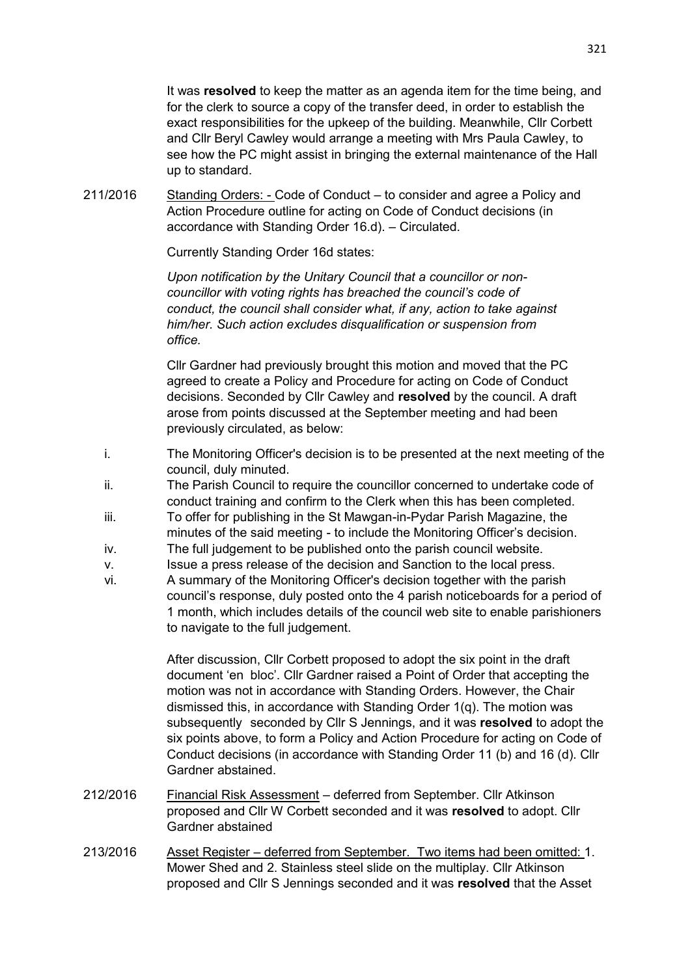It was **resolved** to keep the matter as an agenda item for the time being, and for the clerk to source a copy of the transfer deed, in order to establish the exact responsibilities for the upkeep of the building. Meanwhile, Cllr Corbett and Cllr Beryl Cawley would arrange a meeting with Mrs Paula Cawley, to see how the PC might assist in bringing the external maintenance of the Hall up to standard.

211/2016 Standing Orders: - Code of Conduct – to consider and agree a Policy and Action Procedure outline for acting on Code of Conduct decisions (in accordance with Standing Order 16.d). – Circulated.

Currently Standing Order 16d states:

 *Upon notification by the Unitary Council that a councillor or non councillor with voting rights has breached the council's code of conduct, the council shall consider what, if any, action to take against him/her. Such action excludes disqualification or suspension from office.* 

 Cllr Gardner had previously brought this motion and moved that the PC agreed to create a Policy and Procedure for acting on Code of Conduct decisions. Seconded by Cllr Cawley and **resolved** by the council. A draft arose from points discussed at the September meeting and had been previously circulated, as below:

- i. The Monitoring Officer's decision is to be presented at the next meeting of the council, duly minuted.
- ii. The Parish Council to require the councillor concerned to undertake code of conduct training and confirm to the Clerk when this has been completed.
- iii. To offer for publishing in the St Mawgan-in-Pydar Parish Magazine, the minutes of the said meeting - to include the Monitoring Officer's decision.
- iv. The full judgement to be published onto the parish council website.
- v. Issue a press release of the decision and Sanction to the local press.
- vi. A summary of the Monitoring Officer's decision together with the parish council's response, duly posted onto the 4 parish noticeboards for a period of 1 month, which includes details of the council web site to enable parishioners to navigate to the full judgement.

 After discussion, Cllr Corbett proposed to adopt the six point in the draft document 'en bloc'. Cllr Gardner raised a Point of Order that accepting the motion was not in accordance with Standing Orders. However, the Chair dismissed this, in accordance with Standing Order 1(q). The motion was subsequently seconded by Cllr S Jennings, and it was **resolved** to adopt the six points above, to form a Policy and Action Procedure for acting on Code of Conduct decisions (in accordance with Standing Order 11 (b) and 16 (d). Cllr Gardner abstained.

- 212/2016 Financial Risk Assessment deferred from September. Cllr Atkinson proposed and Cllr W Corbett seconded and it was **resolved** to adopt. Cllr Gardner abstained
- 213/2016 Asset Register deferred from September. Two items had been omitted: 1. Mower Shed and 2. Stainless steel slide on the multiplay. Cllr Atkinson proposed and Cllr S Jennings seconded and it was **resolved** that the Asset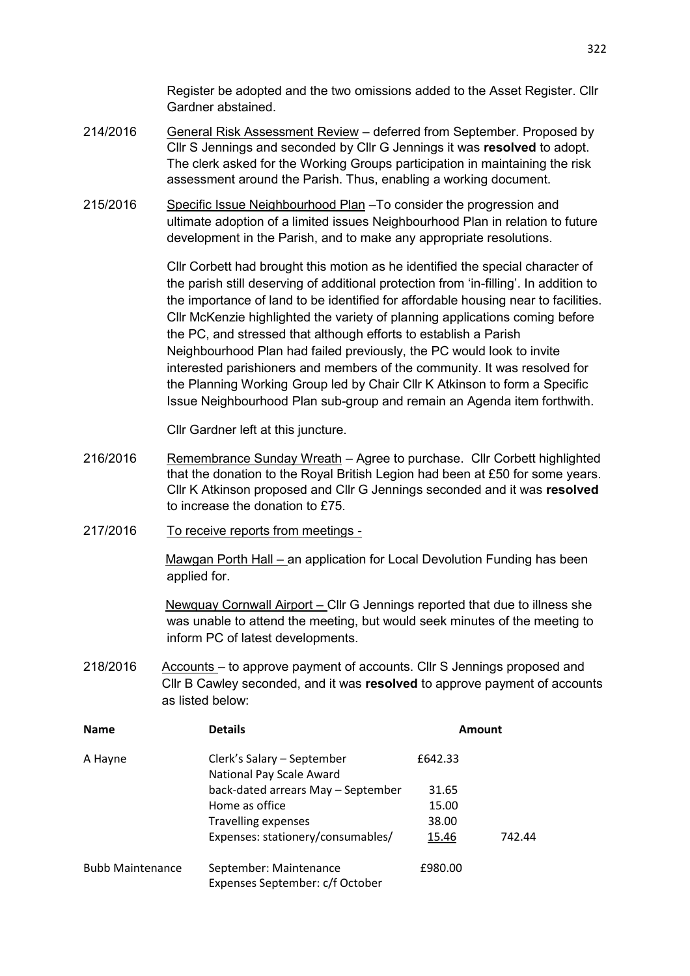Register be adopted and the two omissions added to the Asset Register. Cllr Gardner abstained.

- 214/2016 General Risk Assessment Review deferred from September. Proposed by Cllr S Jennings and seconded by Cllr G Jennings it was **resolved** to adopt. The clerk asked for the Working Groups participation in maintaining the risk assessment around the Parish. Thus, enabling a working document.
- 215/2016 Specific Issue Neighbourhood Plan –To consider the progression and ultimate adoption of a limited issues Neighbourhood Plan in relation to future development in the Parish, and to make any appropriate resolutions.

 Cllr Corbett had brought this motion as he identified the special character of the parish still deserving of additional protection from 'in-filling'. In addition to the importance of land to be identified for affordable housing near to facilities. Cllr McKenzie highlighted the variety of planning applications coming before the PC, and stressed that although efforts to establish a Parish Neighbourhood Plan had failed previously, the PC would look to invite interested parishioners and members of the community. It was resolved for the Planning Working Group led by Chair Cllr K Atkinson to form a Specific Issue Neighbourhood Plan sub-group and remain an Agenda item forthwith.

Cllr Gardner left at this juncture.

- 216/2016 Remembrance Sunday Wreath Agree to purchase. Cllr Corbett highlighted that the donation to the Royal British Legion had been at £50 for some years. Cllr K Atkinson proposed and Cllr G Jennings seconded and it was **resolved** to increase the donation to £75.
- 217/2016 To receive reports from meetings -

Mawgan Porth Hall – an application for Local Devolution Funding has been applied for.

 Newquay Cornwall Airport – Cllr G Jennings reported that due to illness she was unable to attend the meeting, but would seek minutes of the meeting to inform PC of latest developments.

218/2016 Accounts – to approve payment of accounts. Cllr S Jennings proposed and Cllr B Cawley seconded, and it was **resolved** to approve payment of accounts as listed below:

| <b>Name</b>             | <b>Details</b>                                            | Amount  |        |
|-------------------------|-----------------------------------------------------------|---------|--------|
| A Hayne                 | Clerk's Salary - September<br>National Pay Scale Award    | £642.33 |        |
|                         | back-dated arrears May - September                        | 31.65   |        |
|                         | Home as office                                            | 15.00   |        |
|                         | <b>Travelling expenses</b>                                | 38.00   |        |
|                         | Expenses: stationery/consumables/                         | 15.46   | 742.44 |
| <b>Bubb Maintenance</b> | September: Maintenance<br>Expenses September: c/f October | £980.00 |        |